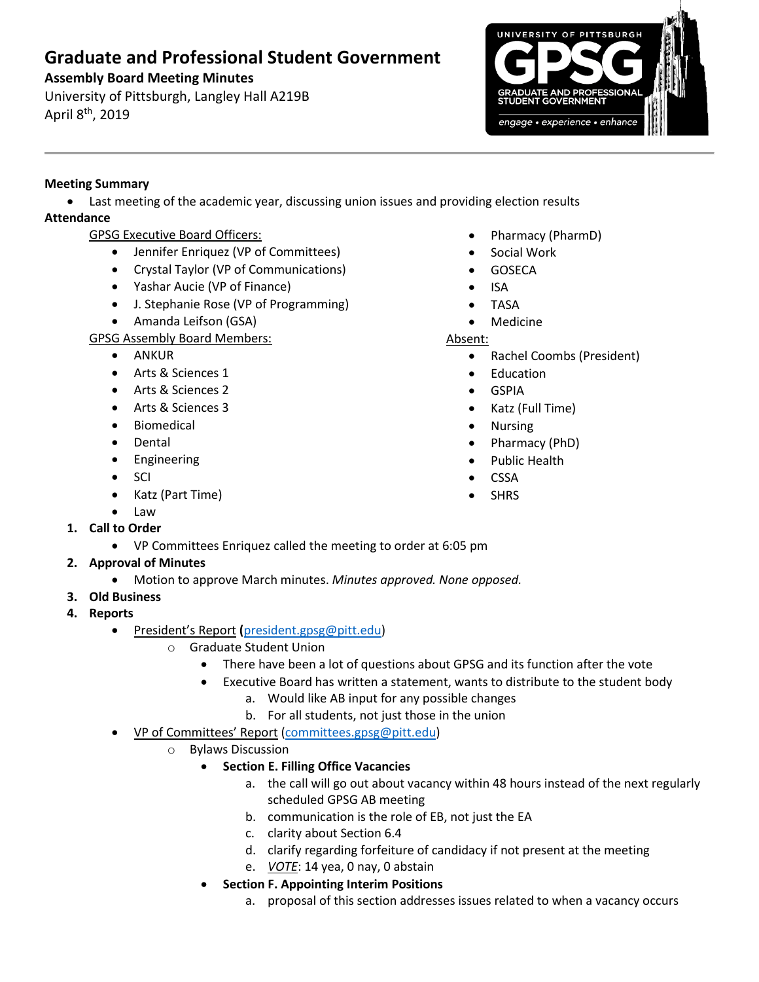# **Graduate and Professional Student Government**

## **Assembly Board Meeting Minutes**

University of Pittsburgh, Langley Hall A219B April 8<sup>th</sup>, 2019



## **Meeting Summary**

• Last meeting of the academic year, discussing union issues and providing election results **Attendance**

# GPSG Executive Board Officers:

- Jennifer Enriquez (VP of Committees)
- Crystal Taylor (VP of Communications)
- Yashar Aucie (VP of Finance)
- J. Stephanie Rose (VP of Programming)
- Amanda Leifson (GSA)

### GPSG Assembly Board Members:

- ANKUR
- Arts & Sciences 1
- Arts & Sciences 2
- Arts & Sciences 3
- Biomedical
- Dental
- Engineering
- SCI
- Katz (Part Time)
- Law
- **1. Call to Order**
	- VP Committees Enriquez called the meeting to order at 6:05 pm

# **2. Approval of Minutes**

- Motion to approve March minutes. *Minutes approved. None opposed.*
- **3. Old Business**
- **4. Reports** 
	- President's Report **(**[president.gpsg@pitt.edu\)](mailto:president.gpsg@pitt.edu)
		- o Graduate Student Union
			- There have been a lot of questions about GPSG and its function after the vote
			- Executive Board has written a statement, wants to distribute to the student body
				- a. Would like AB input for any possible changes
				- b. For all students, not just those in the union
	- VP of Committees' Report [\(committees.gpsg@pitt.edu\)](mailto:committees.gpsg@pitt.edu)
		- o Bylaws Discussion
			- **Section E. Filling Office Vacancies**
				- a. the call will go out about vacancy within 48 hours instead of the next regularly scheduled GPSG AB meeting
				- b. communication is the role of EB, not just the EA
				- c. clarity about Section 6.4
				- d. clarify regarding forfeiture of candidacy if not present at the meeting
				- e. *VOTE*: 14 yea, 0 nay, 0 abstain
			- **Section F. Appointing Interim Positions**
				- a. proposal of this section addresses issues related to when a vacancy occurs
- Pharmacy (PharmD)
- Social Work
- GOSECA
- ISA
- TASA
- Medicine

#### Absent:

- Rachel Coombs (President)
- Education
- GSPIA
- Katz (Full Time)
- Nursing
- Pharmacy (PhD)
- Public Health
- **CSSA**
- SHRS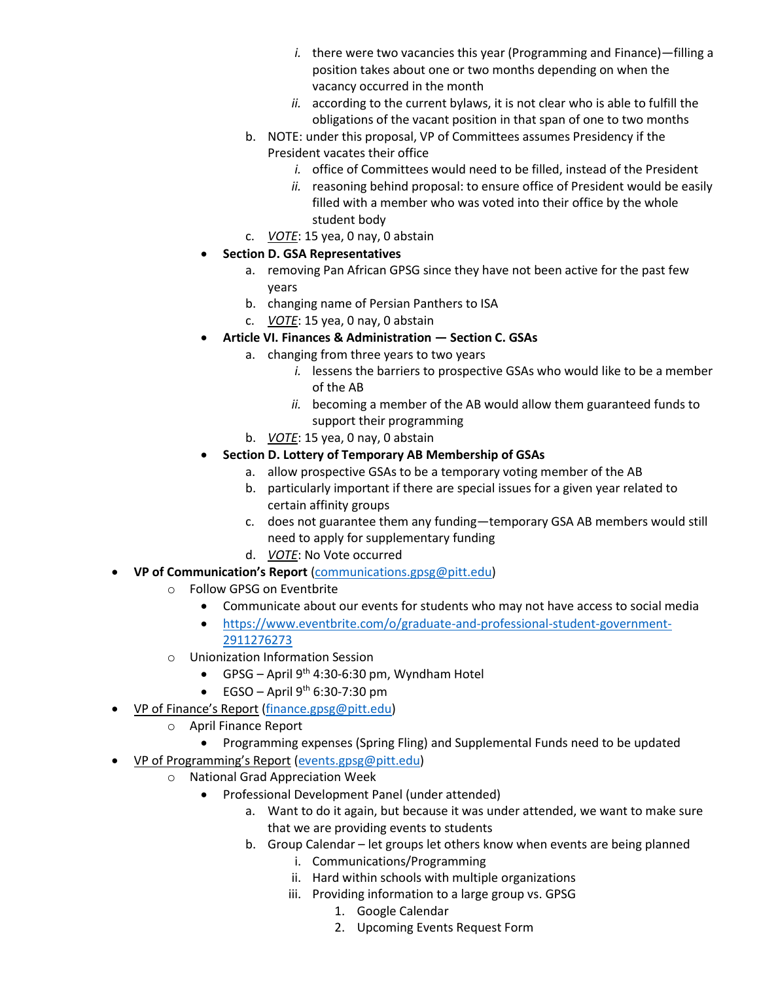- *i.* there were two vacancies this year (Programming and Finance)—filling a position takes about one or two months depending on when the vacancy occurred in the month
- *ii.* according to the current bylaws, it is not clear who is able to fulfill the obligations of the vacant position in that span of one to two months
- b. NOTE: under this proposal, VP of Committees assumes Presidency if the President vacates their office
	- *i.* office of Committees would need to be filled, instead of the President
	- *ii.* reasoning behind proposal: to ensure office of President would be easily filled with a member who was voted into their office by the whole student body
- c. *VOTE*: 15 yea, 0 nay, 0 abstain
- **Section D. GSA Representatives**
	- a. removing Pan African GPSG since they have not been active for the past few years
	- b. changing name of Persian Panthers to ISA
	- c. *VOTE*: 15 yea, 0 nay, 0 abstain
- **Article VI. Finances & Administration — Section C. GSAs**
	- a. changing from three years to two years
		- *i.* lessens the barriers to prospective GSAs who would like to be a member of the AB
		- *ii.* becoming a member of the AB would allow them guaranteed funds to support their programming
	- b. *VOTE*: 15 yea, 0 nay, 0 abstain
- **Section D. Lottery of Temporary AB Membership of GSAs**
	- a. allow prospective GSAs to be a temporary voting member of the AB
	- b. particularly important if there are special issues for a given year related to certain affinity groups
	- c. does not guarantee them any funding—temporary GSA AB members would still need to apply for supplementary funding
	- d. *VOTE*: No Vote occurred
- **VP of Communication's Report** [\(communications.gpsg@pitt.edu\)](mailto:communications.gpsg@pitt.edu)
	- o Follow GPSG on Eventbrite
		- Communicate about our events for students who may not have access to social media
		- [https://www.eventbrite.com/o/graduate-and-professional-student-government-](https://www.eventbrite.com/o/graduate-and-professional-student-government-2911276273)[2911276273](https://www.eventbrite.com/o/graduate-and-professional-student-government-2911276273)
	- o Unionization Information Session
		- GPSG April 9<sup>th</sup> 4:30-6:30 pm, Wyndham Hotel
	- EGSO April  $9<sup>th</sup>$  6:30-7:30 pm
- VP of Finance's Report [\(finance.gpsg@pitt.edu\)](mailto:finance.gpsg@pitt.edu)
	- o April Finance Report
		- Programming expenses (Spring Fling) and Supplemental Funds need to be updated
- VP of Programming's Report [\(events.gpsg@pitt.edu\)](mailto:events.gpsg@pitt.edu)
	- o National Grad Appreciation Week
		- Professional Development Panel (under attended)
			- a. Want to do it again, but because it was under attended, we want to make sure that we are providing events to students
			- b. Group Calendar let groups let others know when events are being planned
				- i. Communications/Programming
				- ii. Hard within schools with multiple organizations
				- iii. Providing information to a large group vs. GPSG
					- 1. Google Calendar
					- 2. Upcoming Events Request Form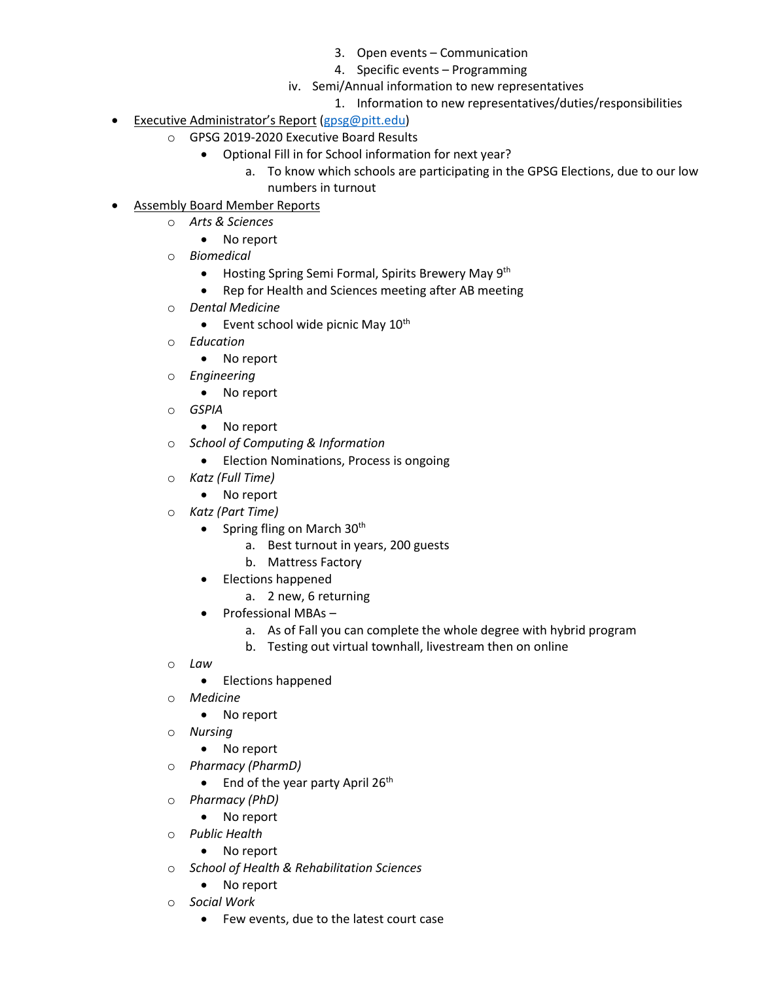- 3. Open events Communication
- 4. Specific events Programming
- iv. Semi/Annual information to new representatives
	- 1. Information to new representatives/duties/responsibilities
- Executive Administrator's Report [\(gpsg@pitt.edu\)](mailto:gpsg@pitt.edu)
	- o GPSG 2019-2020 Executive Board Results
		- Optional Fill in for School information for next year?
			- a. To know which schools are participating in the GPSG Elections, due to our low numbers in turnout
- Assembly Board Member Reports
	- o *Arts & Sciences*
		- No report
	- o *Biomedical*
		- Hosting Spring Semi Formal, Spirits Brewery May 9<sup>th</sup>
		- Rep for Health and Sciences meeting after AB meeting
	- o *Dental Medicine*
		- Event school wide picnic May  $10^{th}$
	- o *Education*
		- No report
	- o *Engineering*
		- No report
	- o *GSPIA*
		- No report
	- o *School of Computing & Information*
		- Election Nominations, Process is ongoing
	- o *Katz (Full Time)*
		- No report
	- o *Katz (Part Time)*
		- Spring fling on March  $30<sup>th</sup>$ 
			- a. Best turnout in years, 200 guests
			- b. Mattress Factory
		- Elections happened
			- a. 2 new, 6 returning
		- Professional MBAs
			- a. As of Fall you can complete the whole degree with hybrid program
			- b. Testing out virtual townhall, livestream then on online
	- o *Law*
		- Elections happened
	- o *Medicine*
		- No report
	- o *Nursing* 
		- No report
	- o *Pharmacy (PharmD)*
		- End of the year party April  $26<sup>th</sup>$
	- o *Pharmacy (PhD)*
		- No report
	- o *Public Health*
		- No report
	- o *School of Health & Rehabilitation Sciences*
		- No report
	- o *Social Work*
		- Few events, due to the latest court case